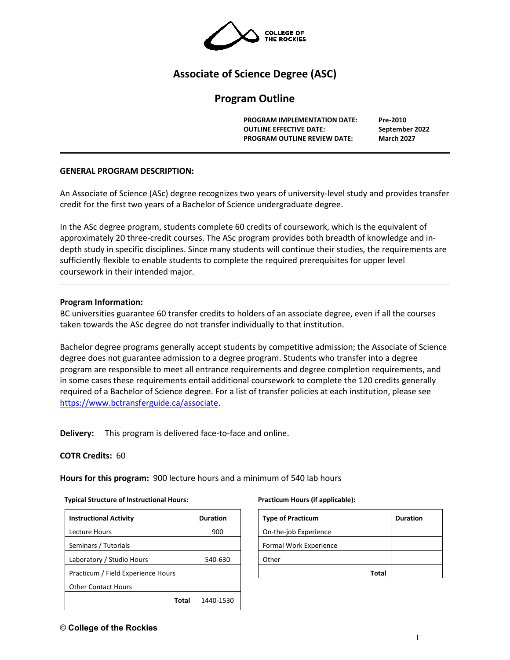

# **Associate of Science Degree (ASC)**

# **Program Outline**

**PROGRAM IMPLEMENTATION DATE: Pre-2010 OUTLINE EFFECTIVE DATE: September 2022 PROGRAM OUTLINE REVIEW DATE: March 2027**

#### **GENERAL PROGRAM DESCRIPTION:**

An Associate of Science (ASc) degree recognizes two years of university-level study and provides transfer credit for the first two years of a Bachelor of Science undergraduate degree.

In the ASc degree program, students complete 60 credits of coursework, which is the equivalent of approximately 20 three-credit courses. The ASc program provides both breadth of knowledge and indepth study in specific disciplines. Since many students will continue their studies, the requirements are sufficiently flexible to enable students to complete the required prerequisites for upper level coursework in their intended major.

### **Program Information:**

BC universities guarantee 60 transfer credits to holders of an associate degree, even if all the courses taken towards the ASc degree do not transfer individually to that institution.

Bachelor degree programs generally accept students by competitive admission; the Associate of Science degree does not guarantee admission to a degree program. Students who transfer into a degree program are responsible to meet all entrance requirements and degree completion requirements, and in some cases these requirements entail additional coursework to complete the 120 credits generally required of a Bachelor of Science degree. For a list of transfer policies at each institution, please see [https://www.bctransferguide.ca/associate.](https://www.bctransferguide.ca/associate)

**Delivery:** This program is delivered face-to-face and online.

## **COTR Credits:** 60

**Hours for this program:** 900 lecture hours and a minimum of 540 lab hours

#### **Typical Structure of Instructional Hours:**

| <b>Instructional Activity</b>      | <b>Duration</b> |  |  |
|------------------------------------|-----------------|--|--|
| Lecture Hours                      | 900             |  |  |
| Seminars / Tutorials               |                 |  |  |
| Laboratory / Studio Hours          | 540-630         |  |  |
| Practicum / Field Experience Hours |                 |  |  |
| <b>Other Contact Hours</b>         |                 |  |  |
| Total                              | 1440-1530       |  |  |

#### **Practicum Hours (if applicable):**

| <b>Type of Practicum</b> | <b>Duration</b> |
|--------------------------|-----------------|
| On-the-job Experience    |                 |
| Formal Work Experience   |                 |
| Other                    |                 |
| Total                    |                 |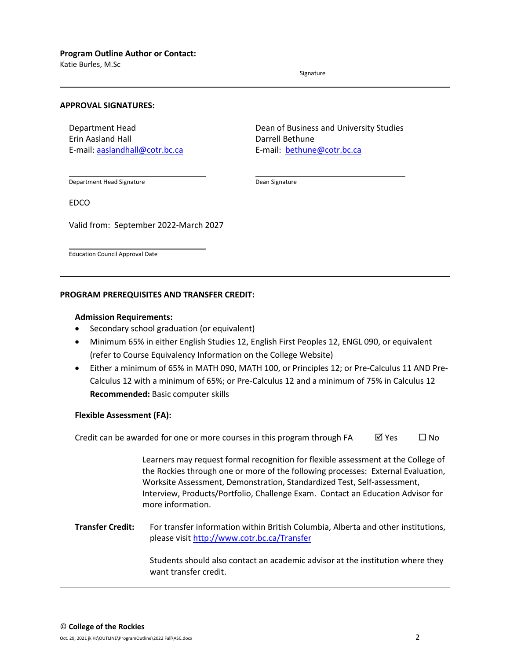Katie Burles, M.Sc

Signature

#### **APPROVAL SIGNATURES:**

Department Head Erin Aasland Hall E-mail: [aaslandhall@cotr.bc.ca](mailto:aaslandhall@cotr.bc.ca) Dean of Business and University Studies Darrell Bethune E-mail: [bethune@cotr.bc.ca](mailto:bethune@cotr.bc.ca)

Department Head Signature

EDCO

Valid from: September 2022-March 2027

Education Council Approval Date

#### **PROGRAM PREREQUISITES AND TRANSFER CREDIT:**

#### **Admission Requirements:**

- Secondary school graduation (or equivalent)
- Minimum 65% in either English Studies 12, English First Peoples 12, ENGL 090, or equivalent (refer to Course Equivalency Information on the College Website)
- Either a minimum of 65% in MATH 090, MATH 100, or Principles 12; or Pre-Calculus 11 AND Pre-Calculus 12 with a minimum of 65%; or Pre-Calculus 12 and a minimum of 75% in Calculus 12 **Recommended:** Basic computer skills

Dean Signature

#### **Flexible Assessment (FA):**

Credit can be awarded for one or more courses in this program through FA  $\boxtimes$  Yes  $\Box$  No

Learners may request formal recognition for flexible assessment at the College of the Rockies through one or more of the following processes: External Evaluation, Worksite Assessment, Demonstration, Standardized Test, Self-assessment, Interview, Products/Portfolio, Challenge Exam. Contact an Education Advisor for more information.

**Transfer Credit:** For transfer information within British Columbia, Alberta and other institutions, please visit<http://www.cotr.bc.ca/Transfer>

> Students should also contact an academic advisor at the institution where they want transfer credit.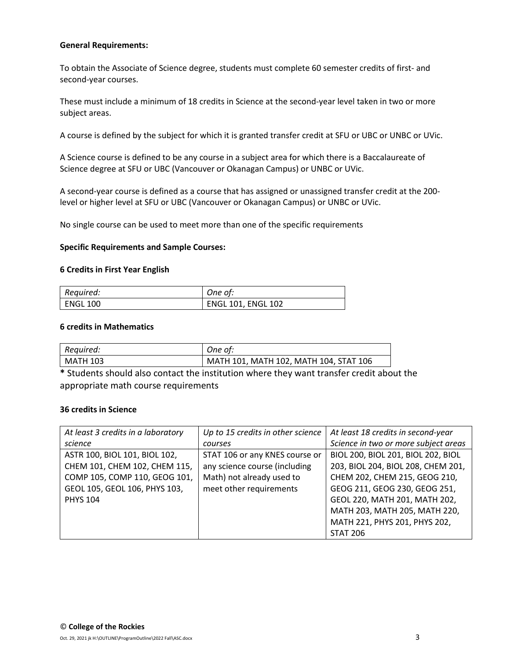### **General Requirements:**

To obtain the Associate of Science degree, students must complete 60 semester credits of first- and second-year courses.

These must include a minimum of 18 credits in Science at the second-year level taken in two or more subject areas.

A course is defined by the subject for which it is granted transfer credit at SFU or UBC or UNBC or UVic.

A Science course is defined to be any course in a subject area for which there is a Baccalaureate of Science degree at SFU or UBC (Vancouver or Okanagan Campus) or UNBC or UVic.

A second-year course is defined as a course that has assigned or unassigned transfer credit at the 200 level or higher level at SFU or UBC (Vancouver or Okanagan Campus) or UNBC or UVic.

No single course can be used to meet more than one of the specific requirements

#### **Specific Requirements and Sample Courses:**

#### **6 Credits in First Year English**

| Required: | One of:                   |
|-----------|---------------------------|
| ENGL 100  | <b>ENGL 101, ENGL 102</b> |

#### **6 credits in Mathematics**

| Required: | One of:                                |
|-----------|----------------------------------------|
| MATH 103  | MATH 101, MATH 102, MATH 104, STAT 106 |

**\*** Students should also contact the institution where they want transfer credit about the appropriate math course requirements

#### **36 credits in Science**

| At least 3 credits in a laboratory | Up to 15 credits in other science | At least 18 credits in second-year   |
|------------------------------------|-----------------------------------|--------------------------------------|
| science                            | courses                           | Science in two or more subject areas |
| ASTR 100, BIOL 101, BIOL 102,      | STAT 106 or any KNES course or    | BIOL 200, BIOL 201, BIOL 202, BIOL   |
| CHEM 101, CHEM 102, CHEM 115,      | any science course (including     | 203, BIOL 204, BIOL 208, CHEM 201,   |
| COMP 105, COMP 110, GEOG 101,      | Math) not already used to         | CHEM 202, CHEM 215, GEOG 210,        |
| GEOL 105, GEOL 106, PHYS 103,      | meet other requirements           | GEOG 211, GEOG 230, GEOG 251,        |
| <b>PHYS 104</b>                    |                                   | GEOL 220, MATH 201, MATH 202,        |
|                                    |                                   | MATH 203, MATH 205, MATH 220,        |
|                                    |                                   | MATH 221, PHYS 201, PHYS 202,        |
|                                    |                                   | <b>STAT 206</b>                      |